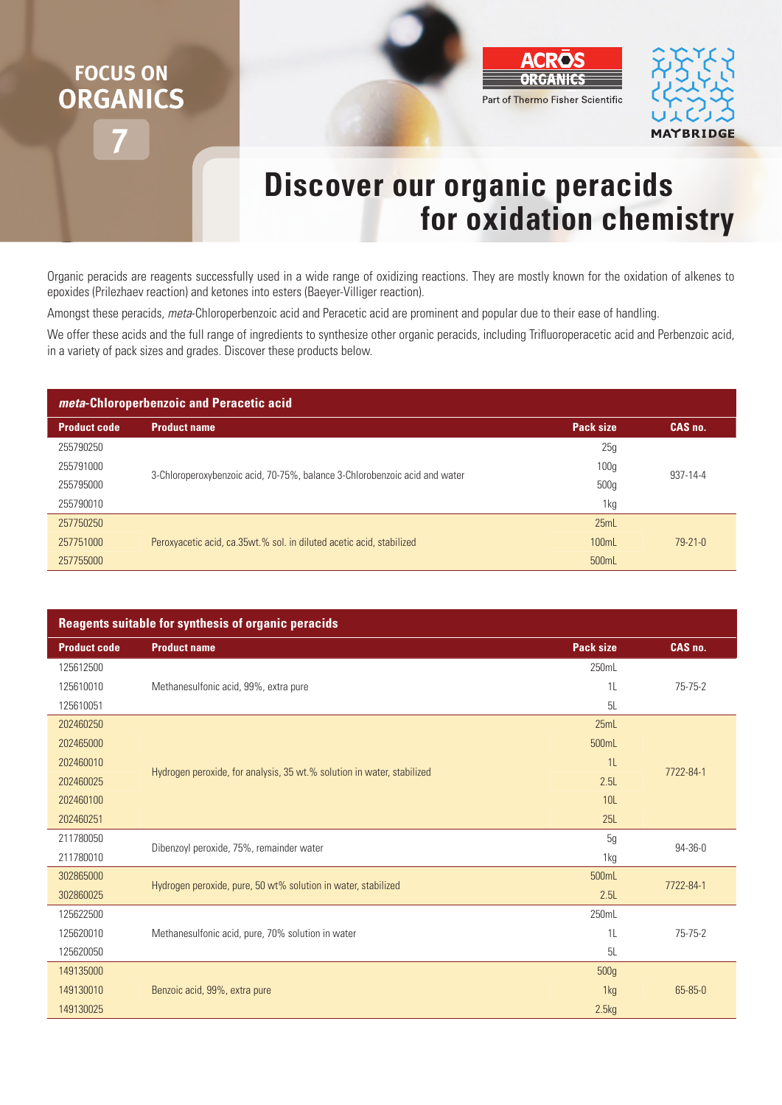## **7 FOCUS ON ORGANICS**





## **Discover our organic peracids for oxidation chemistry**

Organic peracids are reagents successfully used in a wide range of oxidizing reactions. They are mostly known for the oxidation of alkenes to epoxides (Prilezhaev reaction) and ketones into esters (Baeyer-Villiger reaction).

Amongst these peracids, *meta*-Chloroperbenzoic acid and Peracetic acid are prominent and popular due to their ease of handling.

We offer these acids and the full range of ingredients to synthesize other organic peracids, including Trifluoroperacetic acid and Perbenzoic acid, in a variety of pack sizes and grades. Discover these products below.

| meta-Chloroperbenzoic and Peracetic acid |                                                                            |                  |               |  |  |
|------------------------------------------|----------------------------------------------------------------------------|------------------|---------------|--|--|
| <b>Product code</b>                      | <b>Product name</b>                                                        | <b>Pack size</b> | CAS no.       |  |  |
| 255790250                                | 3-Chloroperoxybenzoic acid, 70-75%, balance 3-Chlorobenzoic acid and water | 25g              | 937-14-4      |  |  |
| 255791000                                |                                                                            | 100 <sub>g</sub> |               |  |  |
| 255795000                                |                                                                            | 500 <sub>g</sub> |               |  |  |
| 255790010                                |                                                                            | 1kg              |               |  |  |
| 257750250                                | Peroxyacetic acid, ca.35wt.% sol. in diluted acetic acid, stabilized       | 25mL             | $79 - 21 - 0$ |  |  |
| 257751000                                |                                                                            | 100mL            |               |  |  |
| 257755000                                |                                                                            | 500mL            |               |  |  |

| <b>Reagents suitable for synthesis of organic peracids</b> |                                                                        |                |               |  |  |
|------------------------------------------------------------|------------------------------------------------------------------------|----------------|---------------|--|--|
| <b>Product code</b>                                        | <b>Product name</b>                                                    | Pack size      | CAS no.       |  |  |
| 125612500                                                  |                                                                        | 250mL          |               |  |  |
| 125610010                                                  | Methanesulfonic acid, 99%, extra pure                                  | 1 <sup>L</sup> | $75 - 75 - 2$ |  |  |
| 125610051                                                  |                                                                        | 5L             |               |  |  |
| 202460250                                                  | Hydrogen peroxide, for analysis, 35 wt.% solution in water, stabilized | 25mL           | 7722-84-1     |  |  |
| 202465000                                                  |                                                                        | 500mL          |               |  |  |
| 202460010                                                  |                                                                        | 1 <sup>L</sup> |               |  |  |
| 202460025                                                  |                                                                        | 2.5L           |               |  |  |
| 202460100                                                  |                                                                        | <b>10L</b>     |               |  |  |
| 202460251                                                  |                                                                        | 25L            |               |  |  |
| 211780050                                                  | Dibenzoyl peroxide, 75%, remainder water                               | 5g             | 94-36-0       |  |  |
| 211780010                                                  |                                                                        | 1kg            |               |  |  |
| 302865000                                                  | Hydrogen peroxide, pure, 50 wt% solution in water, stabilized          | 500mL          | 7722-84-1     |  |  |
| 302860025                                                  |                                                                        | 2.5L           |               |  |  |
| 125622500                                                  | Methanesulfonic acid, pure, 70% solution in water                      | 250mL          | $75 - 75 - 2$ |  |  |
| 125620010                                                  |                                                                        | 1 <sup>L</sup> |               |  |  |
| 125620050                                                  |                                                                        | 5L             |               |  |  |
| 149135000                                                  |                                                                        | 500g           |               |  |  |
| 149130010                                                  | Benzoic acid, 99%, extra pure                                          | 1kg            | 65-85-0       |  |  |
| 149130025                                                  |                                                                        | 2.5kg          |               |  |  |